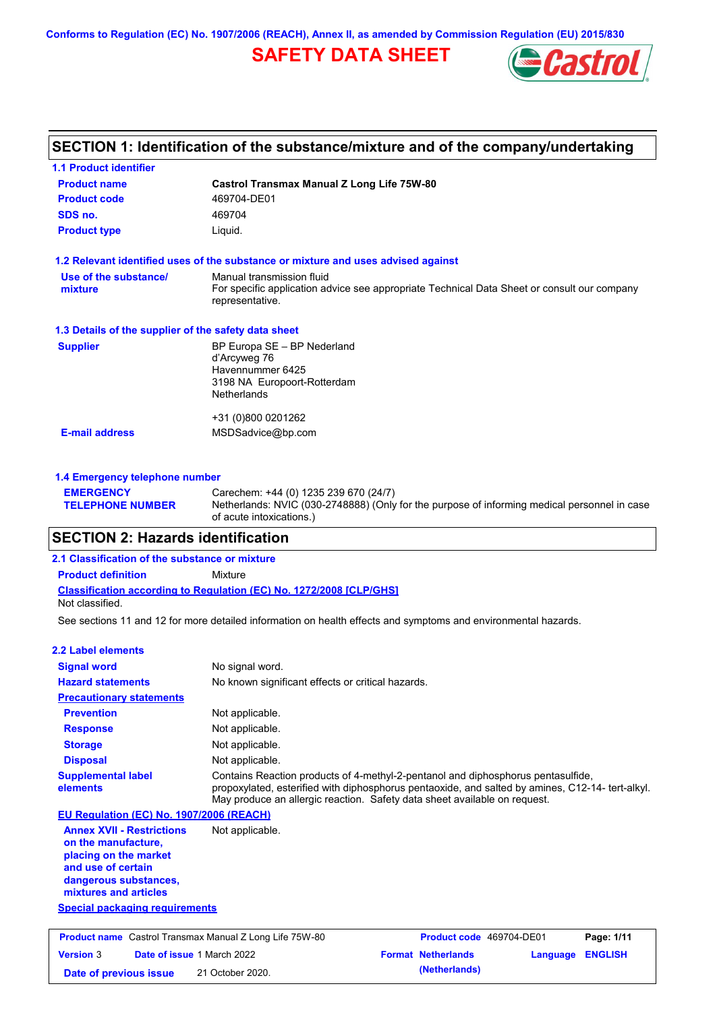**Conforms to Regulation (EC) No. 1907/2006 (REACH), Annex II, as amended by Commission Regulation (EU) 2015/830**

# **SAFETY DATA SHEET**



### **SECTION 1: Identification of the substance/mixture and of the company/undertaking**

| <b>1.1 Product identifier</b>                        |                                                                                                                |
|------------------------------------------------------|----------------------------------------------------------------------------------------------------------------|
| <b>Product name</b>                                  | Castrol Transmax Manual Z Long Life 75W-80                                                                     |
| <b>Product code</b>                                  | 469704-DE01                                                                                                    |
| SDS no.                                              | 469704                                                                                                         |
| <b>Product type</b>                                  | Liquid.                                                                                                        |
|                                                      | 1.2 Relevant identified uses of the substance or mixture and uses advised against                              |
| Use of the substance/                                | Manual transmission fluid                                                                                      |
| mixture                                              | For specific application advice see appropriate Technical Data Sheet or consult our company<br>representative. |
| 1.3 Details of the supplier of the safety data sheet |                                                                                                                |
| <b>Supplier</b>                                      | BP Europa SE - BP Nederland                                                                                    |
|                                                      | d'Arcyweg 76<br>Havennummer 6425                                                                               |
|                                                      | 3198 NA Europoort-Rotterdam                                                                                    |
|                                                      | <b>Netherlands</b>                                                                                             |
|                                                      | +31 (0)800 0201262                                                                                             |
| <b>E-mail address</b>                                | MSDSadvice@bp.com                                                                                              |
|                                                      |                                                                                                                |
| 1.4 Emergency telephone number                       |                                                                                                                |

Netherlands: NVIC (030-2748888) (Only for the purpose of informing medical personnel in case

### of acute intoxications.) **SECTION 2: Hazards identification**

**EMERGENCY** 

**TELEPHONE NUMBER**

#### **Classification according to Regulation (EC) No. 1272/2008 [CLP/GHS] 2.1 Classification of the substance or mixture Product definition** Mixture Not classified.

See sections 11 and 12 for more detailed information on health effects and symptoms and environmental hazards.

**Date of previous issue (Netherlands)** 21 October 2020.

Carechem: +44 (0) 1235 239 670 (24/7)

| 2.2 Label elements                                                                                                                                       |                                                                                                                                                                                                                                                                   |                           |          |                |
|----------------------------------------------------------------------------------------------------------------------------------------------------------|-------------------------------------------------------------------------------------------------------------------------------------------------------------------------------------------------------------------------------------------------------------------|---------------------------|----------|----------------|
| <b>Signal word</b>                                                                                                                                       | No signal word.                                                                                                                                                                                                                                                   |                           |          |                |
| <b>Hazard statements</b>                                                                                                                                 | No known significant effects or critical hazards.                                                                                                                                                                                                                 |                           |          |                |
| <b>Precautionary statements</b>                                                                                                                          |                                                                                                                                                                                                                                                                   |                           |          |                |
| <b>Prevention</b>                                                                                                                                        | Not applicable.                                                                                                                                                                                                                                                   |                           |          |                |
| <b>Response</b>                                                                                                                                          | Not applicable.                                                                                                                                                                                                                                                   |                           |          |                |
| <b>Storage</b>                                                                                                                                           | Not applicable.                                                                                                                                                                                                                                                   |                           |          |                |
| <b>Disposal</b>                                                                                                                                          | Not applicable.                                                                                                                                                                                                                                                   |                           |          |                |
| <b>Supplemental label</b><br>elements                                                                                                                    | Contains Reaction products of 4-methyl-2-pentanol and diphosphorus pentasulfide,<br>propoxylated, esterified with diphosphorus pentaoxide, and salted by amines, C12-14- tert-alkyl.<br>May produce an allergic reaction. Safety data sheet available on request. |                           |          |                |
| EU Regulation (EC) No. 1907/2006 (REACH)                                                                                                                 |                                                                                                                                                                                                                                                                   |                           |          |                |
| <b>Annex XVII - Restrictions</b><br>on the manufacture.<br>placing on the market<br>and use of certain<br>dangerous substances,<br>mixtures and articles | Not applicable.                                                                                                                                                                                                                                                   |                           |          |                |
| <b>Special packaging requirements</b>                                                                                                                    |                                                                                                                                                                                                                                                                   |                           |          |                |
| <b>Product name</b> Castrol Transmax Manual Z Long Life 75W-80                                                                                           |                                                                                                                                                                                                                                                                   | Product code 469704-DE01  |          | Page: 1/11     |
| Date of issue 1 March 2022<br><b>Version 3</b>                                                                                                           |                                                                                                                                                                                                                                                                   | <b>Format Netherlands</b> | Language | <b>ENGLISH</b> |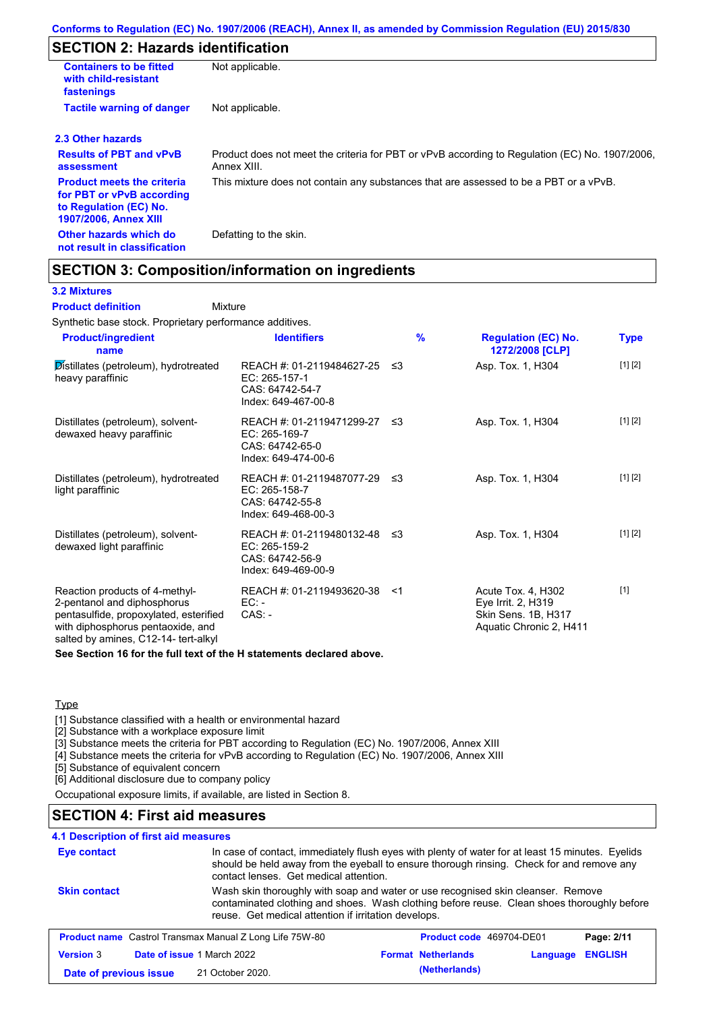# **SECTION 2: Hazards identification**

| <b>Containers to be fitted</b><br>with child-resistant<br>fastenings                                                     | Not applicable.                                                                                               |
|--------------------------------------------------------------------------------------------------------------------------|---------------------------------------------------------------------------------------------------------------|
| <b>Tactile warning of danger</b>                                                                                         | Not applicable.                                                                                               |
| 2.3 Other hazards                                                                                                        |                                                                                                               |
| <b>Results of PBT and vPvB</b><br>assessment                                                                             | Product does not meet the criteria for PBT or vPvB according to Regulation (EC) No. 1907/2006,<br>Annex XIII. |
| <b>Product meets the criteria</b><br>for PBT or vPvB according<br>to Regulation (EC) No.<br><b>1907/2006, Annex XIII</b> | This mixture does not contain any substances that are assessed to be a PBT or a vPvB.                         |
| Other hazards which do<br>not result in classification                                                                   | Defatting to the skin.                                                                                        |

### **SECTION 3: Composition/information on ingredients**

Mixture

#### **3.2 Mixtures**

**Product definition**

Synthetic base stock. Proprietary performance additives.

| <b>Product/ingredient</b><br>name                                                                                                                                                    | <b>Identifiers</b>                                                                      | $\frac{9}{6}$ | <b>Regulation (EC) No.</b><br>1272/2008 [CLP]                                              | Type    |
|--------------------------------------------------------------------------------------------------------------------------------------------------------------------------------------|-----------------------------------------------------------------------------------------|---------------|--------------------------------------------------------------------------------------------|---------|
| Distillates (petroleum), hydrotreated<br>heavy paraffinic                                                                                                                            | REACH #: 01-2119484627-25<br>EC: 265-157-1<br>CAS: 64742-54-7<br>Index: 649-467-00-8    | -≤3           | Asp. Tox. 1, H304                                                                          | [1] [2] |
| Distillates (petroleum), solvent-<br>dewaxed heavy paraffinic                                                                                                                        | REACH #: 01-2119471299-27<br>EC: 265-169-7<br>CAS: 64742-65-0<br>Index: 649-474-00-6    | ו≥ ≤          | Asp. Tox. 1, H304                                                                          | [1] [2] |
| Distillates (petroleum), hydrotreated<br>light paraffinic                                                                                                                            | REACH #: 01-2119487077-29 ≤3<br>EC: 265-158-7<br>CAS: 64742-55-8<br>Index: 649-468-00-3 |               | Asp. Tox. 1, H304                                                                          | [1] [2] |
| Distillates (petroleum), solvent-<br>dewaxed light paraffinic                                                                                                                        | REACH #: 01-2119480132-48 ≤3<br>EC: 265-159-2<br>CAS: 64742-56-9<br>Index: 649-469-00-9 |               | Asp. Tox. 1, H304                                                                          | [1] [2] |
| Reaction products of 4-methyl-<br>2-pentanol and diphosphorus<br>pentasulfide, propoxylated, esterified<br>with diphosphorus pentaoxide, and<br>salted by amines, C12-14- tert-alkyl | REACH #: 01-2119493620-38<br>EC: -<br>$CAS: -$                                          | $<$ 1         | Acute Tox. 4, H302<br>Eye Irrit. 2, H319<br>Skin Sens. 1B, H317<br>Aquatic Chronic 2, H411 | $[1]$   |

**See Section 16 for the full text of the H statements declared above.**

**Type** 

[1] Substance classified with a health or environmental hazard

[2] Substance with a workplace exposure limit

[3] Substance meets the criteria for PBT according to Regulation (EC) No. 1907/2006, Annex XIII

[4] Substance meets the criteria for vPvB according to Regulation (EC) No. 1907/2006, Annex XIII

[5] Substance of equivalent concern

[6] Additional disclosure due to company policy

Occupational exposure limits, if available, are listed in Section 8.

### **SECTION 4: First aid measures**

### **4.1 Description of first aid measures**

| <b>Eye contact</b>  | contact lenses. Get medical attention.                         | In case of contact, immediately flush eyes with plenty of water for at least 15 minutes. Eyelids<br>should be held away from the eyeball to ensure thorough rinsing. Check for and remove any |
|---------------------|----------------------------------------------------------------|-----------------------------------------------------------------------------------------------------------------------------------------------------------------------------------------------|
| <b>Skin contact</b> | reuse. Get medical attention if irritation develops.           | Wash skin thoroughly with soap and water or use recognised skin cleanser. Remove<br>contaminated clothing and shoes. Wash clothing before reuse. Clean shoes thoroughly before                |
|                     | <b>Product name</b> Castrol Transmax Manual Z Long Life 75W-80 | <b>Product code</b> 469704-DE01<br>Page: 2/11                                                                                                                                                 |
| <b>Version 3</b>    | Date of issue 1 March 2022                                     | <b>ENGLISH</b><br><b>Format Netherlands</b><br>Language                                                                                                                                       |
|                     |                                                                |                                                                                                                                                                                               |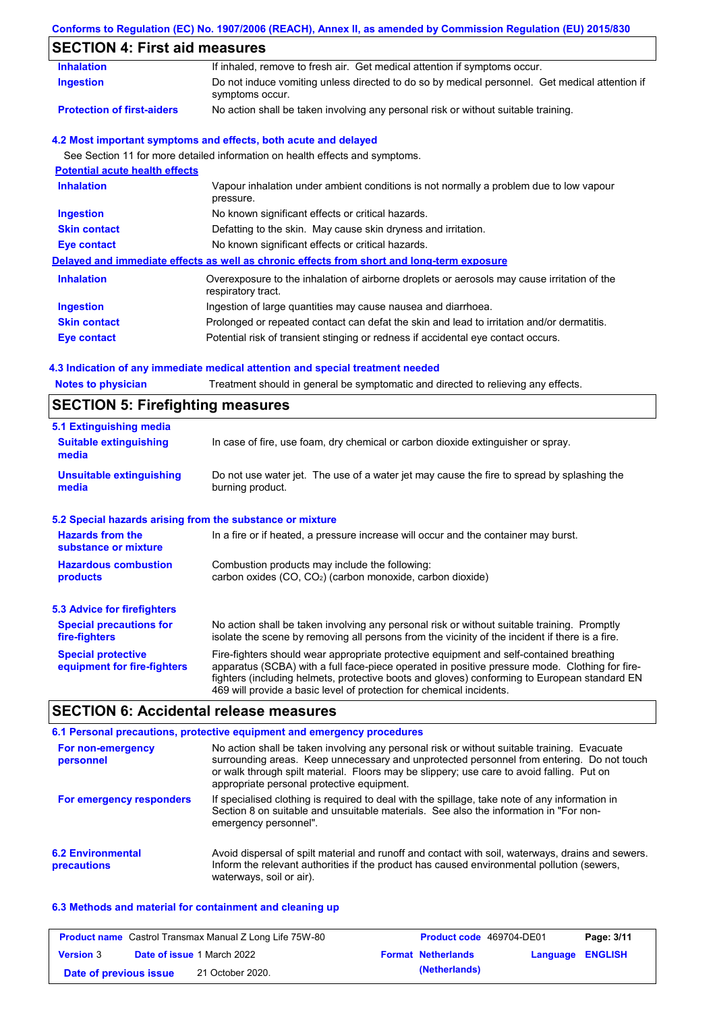### **Conforms to Regulation (EC) No. 1907/2006 (REACH), Annex II, as amended by Commission Regulation (EU) 2015/830**

# **SECTION 4: First aid measures**

| <b>Inhalation</b>                       | If inhaled, remove to fresh air. Get medical attention if symptoms occur.                                         |
|-----------------------------------------|-------------------------------------------------------------------------------------------------------------------|
| <b>Ingestion</b>                        | Do not induce vomiting unless directed to do so by medical personnel. Get medical attention if<br>symptoms occur. |
| <b>Protection of first-aiders</b>       | No action shall be taken involving any personal risk or without suitable training.                                |
|                                         | 4.2 Most important symptoms and effects, both acute and delayed                                                   |
|                                         | See Section 11 for more detailed information on health effects and symptoms.                                      |
| <b>Potential acute health effects</b>   |                                                                                                                   |
| <b>Inhalation</b>                       | Vapour inhalation under ambient conditions is not normally a problem due to low vapour<br>pressure.               |
| <b>Ingestion</b>                        | No known significant effects or critical hazards.                                                                 |
| <b>Skin contact</b>                     | Defatting to the skin. May cause skin dryness and irritation.                                                     |
| <b>Eye contact</b>                      | No known significant effects or critical hazards.                                                                 |
|                                         | Delayed and immediate effects as well as chronic effects from short and long-term exposure                        |
| <b>Inhalation</b>                       | Overexposure to the inhalation of airborne droplets or aerosols may cause irritation of the<br>respiratory tract. |
| <b>Ingestion</b>                        | Ingestion of large quantities may cause nausea and diarrhoea.                                                     |
| <b>Skin contact</b>                     | Prolonged or repeated contact can defat the skin and lead to irritation and/or dermatitis.                        |
| Eye contact                             | Potential risk of transient stinging or redness if accidental eye contact occurs.                                 |
|                                         | 4.3 Indication of any immediate medical attention and special treatment needed                                    |
| <b>Notes to physician</b>               | Treatment should in general be symptomatic and directed to relieving any effects.                                 |
| <b>SECTION 5: Firefighting measures</b> |                                                                                                                   |

| 020 1101 1 0. 1 1101191111119 11100001 00                                                                                                                                                                                                                                                                                                                                                                                     |                                                                                                                                                                                                |  |  |  |
|-------------------------------------------------------------------------------------------------------------------------------------------------------------------------------------------------------------------------------------------------------------------------------------------------------------------------------------------------------------------------------------------------------------------------------|------------------------------------------------------------------------------------------------------------------------------------------------------------------------------------------------|--|--|--|
| 5.1 Extinguishing media                                                                                                                                                                                                                                                                                                                                                                                                       |                                                                                                                                                                                                |  |  |  |
| <b>Suitable extinguishing</b><br>media                                                                                                                                                                                                                                                                                                                                                                                        | In case of fire, use foam, dry chemical or carbon dioxide extinguisher or spray.                                                                                                               |  |  |  |
| <b>Unsuitable extinguishing</b><br>media                                                                                                                                                                                                                                                                                                                                                                                      | Do not use water jet. The use of a water jet may cause the fire to spread by splashing the<br>burning product.                                                                                 |  |  |  |
| 5.2 Special hazards arising from the substance or mixture                                                                                                                                                                                                                                                                                                                                                                     |                                                                                                                                                                                                |  |  |  |
| <b>Hazards from the</b><br>In a fire or if heated, a pressure increase will occur and the container may burst.<br>substance or mixture                                                                                                                                                                                                                                                                                        |                                                                                                                                                                                                |  |  |  |
| <b>Hazardous combustion</b><br>Combustion products may include the following:<br>carbon oxides (CO, CO <sub>2</sub> ) (carbon monoxide, carbon dioxide)<br>products                                                                                                                                                                                                                                                           |                                                                                                                                                                                                |  |  |  |
| <b>5.3 Advice for firefighters</b>                                                                                                                                                                                                                                                                                                                                                                                            |                                                                                                                                                                                                |  |  |  |
| <b>Special precautions for</b><br>fire-fighters                                                                                                                                                                                                                                                                                                                                                                               | No action shall be taken involving any personal risk or without suitable training. Promptly<br>isolate the scene by removing all persons from the vicinity of the incident if there is a fire. |  |  |  |
| <b>Special protective</b><br>Fire-fighters should wear appropriate protective equipment and self-contained breathing<br>apparatus (SCBA) with a full face-piece operated in positive pressure mode. Clothing for fire-<br>equipment for fire-fighters<br>fighters (including helmets, protective boots and gloves) conforming to European standard EN<br>469 will provide a basic level of protection for chemical incidents. |                                                                                                                                                                                                |  |  |  |

# **SECTION 6: Accidental release measures**

|                                         | 6.1 Personal precautions, protective equipment and emergency procedures                                                                                                                                                                                                                                                             |
|-----------------------------------------|-------------------------------------------------------------------------------------------------------------------------------------------------------------------------------------------------------------------------------------------------------------------------------------------------------------------------------------|
| For non-emergency<br>personnel          | No action shall be taken involving any personal risk or without suitable training. Evacuate<br>surrounding areas. Keep unnecessary and unprotected personnel from entering. Do not touch<br>or walk through spilt material. Floors may be slippery; use care to avoid falling. Put on<br>appropriate personal protective equipment. |
| For emergency responders                | If specialised clothing is required to deal with the spillage, take note of any information in<br>Section 8 on suitable and unsuitable materials. See also the information in "For non-<br>emergency personnel".                                                                                                                    |
| <b>6.2 Environmental</b><br>precautions | Avoid dispersal of spilt material and runoff and contact with soil, waterways, drains and sewers.<br>Inform the relevant authorities if the product has caused environmental pollution (sewers,<br>waterways, soil or air).                                                                                                         |

### **6.3 Methods and material for containment and cleaning up**

|                        | <b>Product name</b> Castrol Transmax Manual Z Long Life 75W-80 | <b>Product code</b> 469704-DE01 |                         | Page: 3/11 |
|------------------------|----------------------------------------------------------------|---------------------------------|-------------------------|------------|
| <b>Version 3</b>       | <b>Date of issue 1 March 2022</b>                              | <b>Format Netherlands</b>       | <b>Language ENGLISH</b> |            |
| Date of previous issue | 21 October 2020.                                               | (Netherlands)                   |                         |            |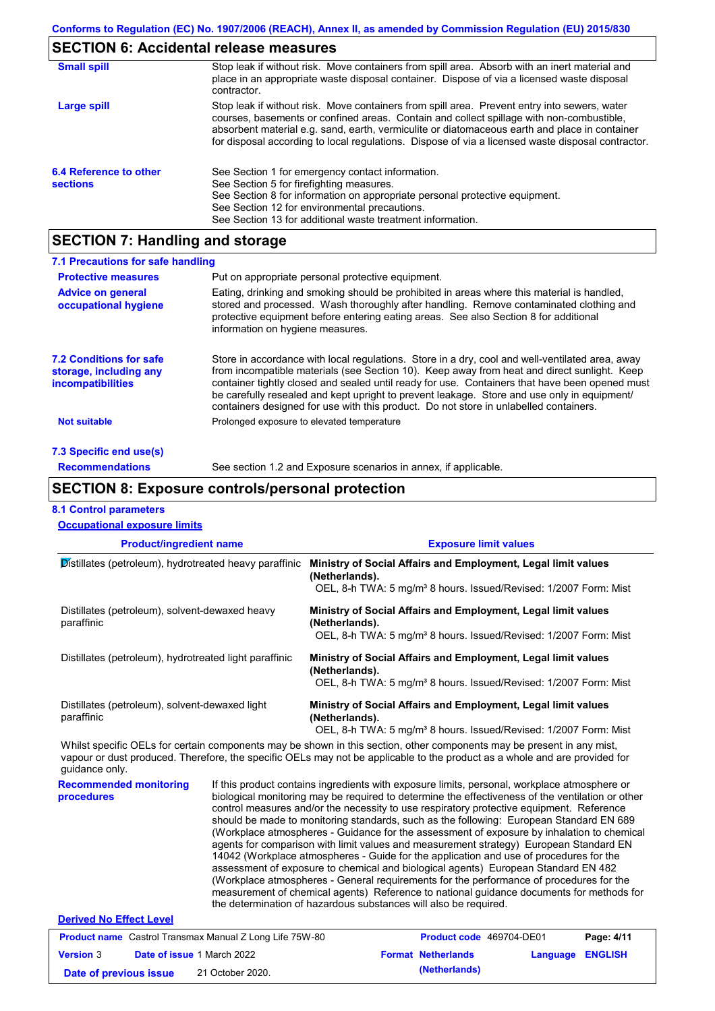## **SECTION 6: Accidental release measures**

| <b>Small spill</b>                        | Stop leak if without risk. Move containers from spill area. Absorb with an inert material and<br>place in an appropriate waste disposal container. Dispose of via a licensed waste disposal<br>contractor.                                                                                                                                                                                     |
|-------------------------------------------|------------------------------------------------------------------------------------------------------------------------------------------------------------------------------------------------------------------------------------------------------------------------------------------------------------------------------------------------------------------------------------------------|
| Large spill                               | Stop leak if without risk. Move containers from spill area. Prevent entry into sewers, water<br>courses, basements or confined areas. Contain and collect spillage with non-combustible,<br>absorbent material e.g. sand, earth, vermiculite or diatomaceous earth and place in container<br>for disposal according to local regulations. Dispose of via a licensed waste disposal contractor. |
| 6.4 Reference to other<br><b>sections</b> | See Section 1 for emergency contact information.<br>See Section 5 for firefighting measures.<br>See Section 8 for information on appropriate personal protective equipment.<br>See Section 12 for environmental precautions.<br>See Section 13 for additional waste treatment information.                                                                                                     |

# **SECTION 7: Handling and storage**

| 7.1 Precautions for safe handling                                                    |                                                                                                                                                                                                                                                                                                                                                                                                                                                                                          |
|--------------------------------------------------------------------------------------|------------------------------------------------------------------------------------------------------------------------------------------------------------------------------------------------------------------------------------------------------------------------------------------------------------------------------------------------------------------------------------------------------------------------------------------------------------------------------------------|
| <b>Protective measures</b>                                                           | Put on appropriate personal protective equipment.                                                                                                                                                                                                                                                                                                                                                                                                                                        |
| <b>Advice on general</b><br>occupational hygiene                                     | Eating, drinking and smoking should be prohibited in areas where this material is handled,<br>stored and processed. Wash thoroughly after handling. Remove contaminated clothing and<br>protective equipment before entering eating areas. See also Section 8 for additional<br>information on hygiene measures.                                                                                                                                                                         |
| <b>7.2 Conditions for safe</b><br>storage, including any<br><i>incompatibilities</i> | Store in accordance with local requlations. Store in a dry, cool and well-ventilated area, away<br>from incompatible materials (see Section 10). Keep away from heat and direct sunlight. Keep<br>container tightly closed and sealed until ready for use. Containers that have been opened must<br>be carefully resealed and kept upright to prevent leakage. Store and use only in equipment/<br>containers designed for use with this product. Do not store in unlabelled containers. |
| <b>Not suitable</b>                                                                  | Prolonged exposure to elevated temperature                                                                                                                                                                                                                                                                                                                                                                                                                                               |
| 7.3 Specific end use(s)                                                              |                                                                                                                                                                                                                                                                                                                                                                                                                                                                                          |
| <b>Recommendations</b>                                                               | See section 1.2 and Exposure scenarios in annex, if applicable.                                                                                                                                                                                                                                                                                                                                                                                                                          |

### **SECTION 8: Exposure controls/personal protection**

#### **8.1 Control parameters**

| <b>Occupational exposure limits</b>                          |                                                                                                                                                                                                                                                      |
|--------------------------------------------------------------|------------------------------------------------------------------------------------------------------------------------------------------------------------------------------------------------------------------------------------------------------|
| <b>Product/ingredient name</b>                               | <b>Exposure limit values</b>                                                                                                                                                                                                                         |
| Distillates (petroleum), hydrotreated heavy paraffinic       | Ministry of Social Affairs and Employment, Legal limit values<br>(Netherlands).<br>OEL, 8-h TWA: 5 mg/m <sup>3</sup> 8 hours. Issued/Revised: 1/2007 Form: Mist                                                                                      |
| Distillates (petroleum), solvent-dewaxed heavy<br>paraffinic | Ministry of Social Affairs and Employment, Legal limit values<br>(Netherlands).<br>OEL, 8-h TWA: 5 mg/m <sup>3</sup> 8 hours. Issued/Revised: 1/2007 Form: Mist                                                                                      |
| Distillates (petroleum), hydrotreated light paraffinic       | Ministry of Social Affairs and Employment, Legal limit values<br>(Netherlands).<br>OEL, 8-h TWA: 5 mg/m <sup>3</sup> 8 hours. Issued/Revised: 1/2007 Form: Mist                                                                                      |
| Distillates (petroleum), solvent-dewaxed light<br>paraffinic | Ministry of Social Affairs and Employment, Legal limit values<br>(Netherlands).<br>OEL, 8-h TWA: 5 mg/m <sup>3</sup> 8 hours. Issued/Revised: 1/2007 Form: Mist                                                                                      |
| quidance only.                                               | Whilst specific OELs for certain components may be shown in this section, other components may be present in any mist,<br>vapour or dust produced. Therefore, the specific OELs may not be applicable to the product as a whole and are provided for |

**Recommended monitoring procedures**

If this product contains ingredients with exposure limits, personal, workplace atmosphere or biological monitoring may be required to determine the effectiveness of the ventilation or other control measures and/or the necessity to use respiratory protective equipment. Reference should be made to monitoring standards, such as the following: European Standard EN 689 (Workplace atmospheres - Guidance for the assessment of exposure by inhalation to chemical agents for comparison with limit values and measurement strategy) European Standard EN 14042 (Workplace atmospheres - Guide for the application and use of procedures for the assessment of exposure to chemical and biological agents) European Standard EN 482 (Workplace atmospheres - General requirements for the performance of procedures for the measurement of chemical agents) Reference to national guidance documents for methods for the determination of hazardous substances will also be required.

#### **Derived No Effect Level**

| <b>Product name</b> Castrol Transmax Manual Z Long Life 75W-80 |  |                                   | <b>Product code</b> 469704-DE01 |                           | Page: 4/11              |  |
|----------------------------------------------------------------|--|-----------------------------------|---------------------------------|---------------------------|-------------------------|--|
| <b>Version 3</b>                                               |  | <b>Date of issue 1 March 2022</b> |                                 | <b>Format Netherlands</b> | <b>Language ENGLISH</b> |  |
| Date of previous issue                                         |  | 21 October 2020.                  |                                 | (Netherlands)             |                         |  |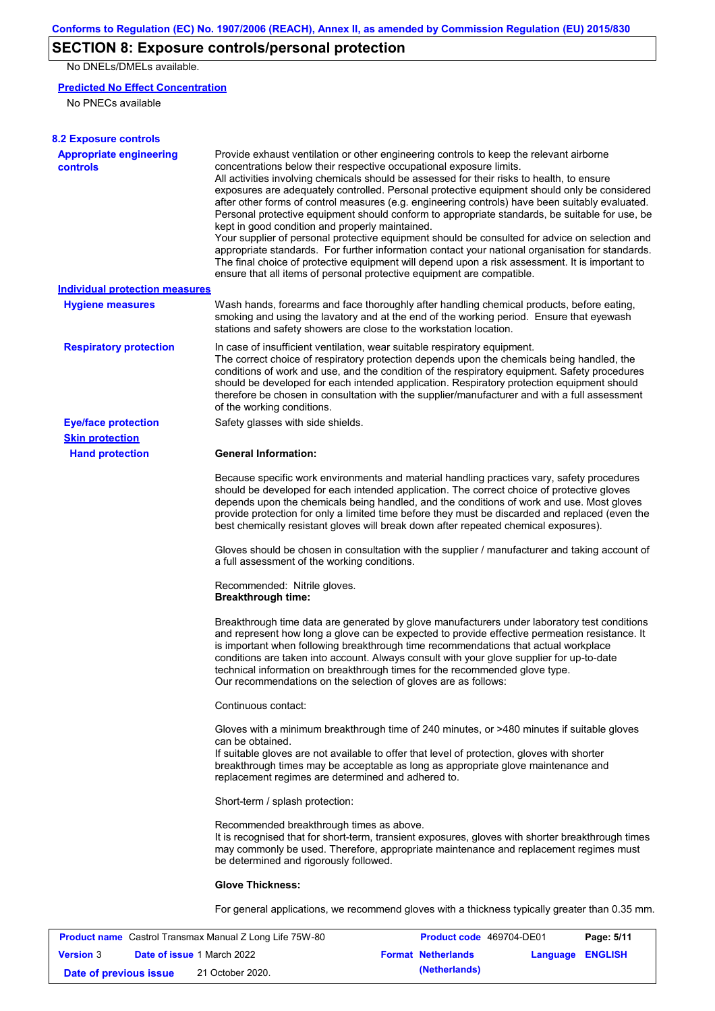# **SECTION 8: Exposure controls/personal protection**

No DNELs/DMELs available.

#### **Predicted No Effect Concentration**

No PNECs available

| <b>8.2 Exposure controls</b>                      |                                                                                                                                                                                                                                                                                                                                                                                                                                                                                                                                                                                                                                                                                                                                                                                                                                                                                                                                                                                                         |
|---------------------------------------------------|---------------------------------------------------------------------------------------------------------------------------------------------------------------------------------------------------------------------------------------------------------------------------------------------------------------------------------------------------------------------------------------------------------------------------------------------------------------------------------------------------------------------------------------------------------------------------------------------------------------------------------------------------------------------------------------------------------------------------------------------------------------------------------------------------------------------------------------------------------------------------------------------------------------------------------------------------------------------------------------------------------|
| <b>Appropriate engineering</b><br><b>controls</b> | Provide exhaust ventilation or other engineering controls to keep the relevant airborne<br>concentrations below their respective occupational exposure limits.<br>All activities involving chemicals should be assessed for their risks to health, to ensure<br>exposures are adequately controlled. Personal protective equipment should only be considered<br>after other forms of control measures (e.g. engineering controls) have been suitably evaluated.<br>Personal protective equipment should conform to appropriate standards, be suitable for use, be<br>kept in good condition and properly maintained.<br>Your supplier of personal protective equipment should be consulted for advice on selection and<br>appropriate standards. For further information contact your national organisation for standards.<br>The final choice of protective equipment will depend upon a risk assessment. It is important to<br>ensure that all items of personal protective equipment are compatible. |
| <b>Individual protection measures</b>             |                                                                                                                                                                                                                                                                                                                                                                                                                                                                                                                                                                                                                                                                                                                                                                                                                                                                                                                                                                                                         |
| <b>Hygiene measures</b>                           | Wash hands, forearms and face thoroughly after handling chemical products, before eating,<br>smoking and using the lavatory and at the end of the working period. Ensure that eyewash<br>stations and safety showers are close to the workstation location.                                                                                                                                                                                                                                                                                                                                                                                                                                                                                                                                                                                                                                                                                                                                             |
| <b>Respiratory protection</b>                     | In case of insufficient ventilation, wear suitable respiratory equipment.<br>The correct choice of respiratory protection depends upon the chemicals being handled, the<br>conditions of work and use, and the condition of the respiratory equipment. Safety procedures<br>should be developed for each intended application. Respiratory protection equipment should<br>therefore be chosen in consultation with the supplier/manufacturer and with a full assessment<br>of the working conditions.                                                                                                                                                                                                                                                                                                                                                                                                                                                                                                   |
| <b>Eye/face protection</b>                        | Safety glasses with side shields.                                                                                                                                                                                                                                                                                                                                                                                                                                                                                                                                                                                                                                                                                                                                                                                                                                                                                                                                                                       |
| <b>Skin protection</b>                            |                                                                                                                                                                                                                                                                                                                                                                                                                                                                                                                                                                                                                                                                                                                                                                                                                                                                                                                                                                                                         |
| <b>Hand protection</b>                            | <b>General Information:</b>                                                                                                                                                                                                                                                                                                                                                                                                                                                                                                                                                                                                                                                                                                                                                                                                                                                                                                                                                                             |
|                                                   | Because specific work environments and material handling practices vary, safety procedures<br>should be developed for each intended application. The correct choice of protective gloves<br>depends upon the chemicals being handled, and the conditions of work and use. Most gloves<br>provide protection for only a limited time before they must be discarded and replaced (even the<br>best chemically resistant gloves will break down after repeated chemical exposures).                                                                                                                                                                                                                                                                                                                                                                                                                                                                                                                        |
|                                                   | Gloves should be chosen in consultation with the supplier / manufacturer and taking account of<br>a full assessment of the working conditions.                                                                                                                                                                                                                                                                                                                                                                                                                                                                                                                                                                                                                                                                                                                                                                                                                                                          |
|                                                   | Recommended: Nitrile gloves.<br><b>Breakthrough time:</b>                                                                                                                                                                                                                                                                                                                                                                                                                                                                                                                                                                                                                                                                                                                                                                                                                                                                                                                                               |
|                                                   | Breakthrough time data are generated by glove manufacturers under laboratory test conditions<br>and represent how long a glove can be expected to provide effective permeation resistance. It<br>is important when following breakthrough time recommendations that actual workplace<br>conditions are taken into account. Always consult with your glove supplier for up-to-date<br>technical information on breakthrough times for the recommended glove type.<br>Our recommendations on the selection of gloves are as follows:                                                                                                                                                                                                                                                                                                                                                                                                                                                                      |
|                                                   | Continuous contact:                                                                                                                                                                                                                                                                                                                                                                                                                                                                                                                                                                                                                                                                                                                                                                                                                                                                                                                                                                                     |
|                                                   | Gloves with a minimum breakthrough time of 240 minutes, or >480 minutes if suitable gloves<br>can be obtained.<br>If suitable gloves are not available to offer that level of protection, gloves with shorter<br>breakthrough times may be acceptable as long as appropriate glove maintenance and<br>replacement regimes are determined and adhered to.                                                                                                                                                                                                                                                                                                                                                                                                                                                                                                                                                                                                                                                |
|                                                   | Short-term / splash protection:                                                                                                                                                                                                                                                                                                                                                                                                                                                                                                                                                                                                                                                                                                                                                                                                                                                                                                                                                                         |
|                                                   | Recommended breakthrough times as above.<br>It is recognised that for short-term, transient exposures, gloves with shorter breakthrough times<br>may commonly be used. Therefore, appropriate maintenance and replacement regimes must<br>be determined and rigorously followed.                                                                                                                                                                                                                                                                                                                                                                                                                                                                                                                                                                                                                                                                                                                        |
|                                                   | <b>Glove Thickness:</b>                                                                                                                                                                                                                                                                                                                                                                                                                                                                                                                                                                                                                                                                                                                                                                                                                                                                                                                                                                                 |
|                                                   | For general applications, we recommend gloves with a thickness typically greater than 0.35 mm.                                                                                                                                                                                                                                                                                                                                                                                                                                                                                                                                                                                                                                                                                                                                                                                                                                                                                                          |

| <b>Product name</b> Castrol Transmax Manual Z Long Life 75W-80 |  |                                   | <b>Product code</b> 469704-DE01 |                           | Page: 5/11       |  |
|----------------------------------------------------------------|--|-----------------------------------|---------------------------------|---------------------------|------------------|--|
| <b>Version 3</b>                                               |  | <b>Date of issue 1 March 2022</b> |                                 | <b>Format Netherlands</b> | Language ENGLISH |  |
| Date of previous issue                                         |  | 21 October 2020.                  |                                 | (Netherlands)             |                  |  |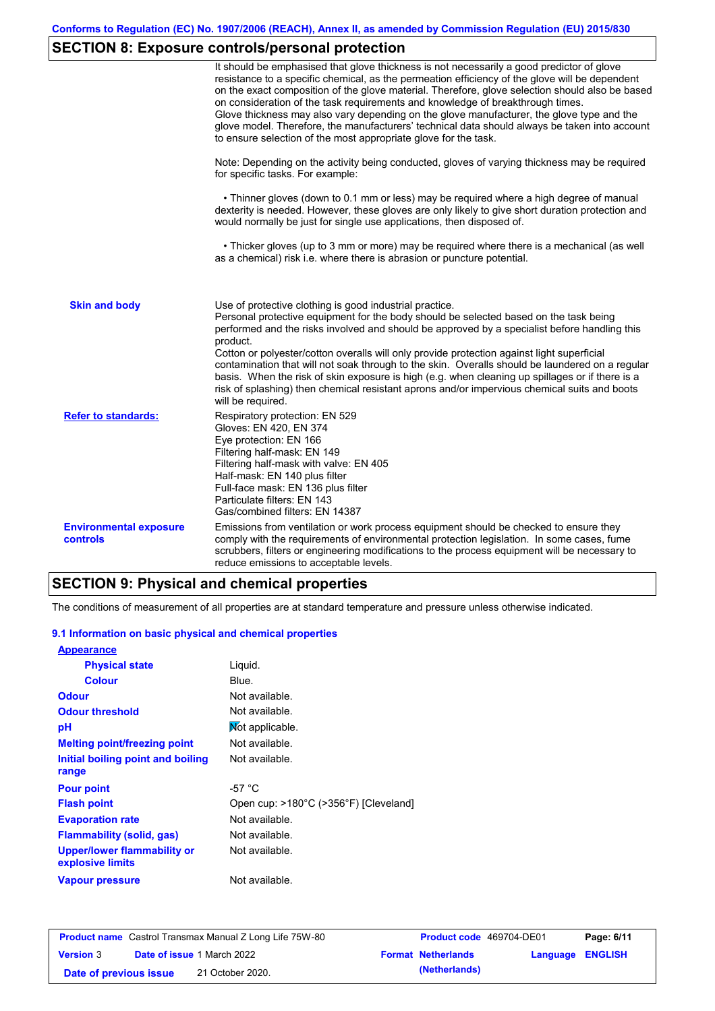# **SECTION 8: Exposure controls/personal protection**

|                                           | It should be emphasised that glove thickness is not necessarily a good predictor of glove<br>resistance to a specific chemical, as the permeation efficiency of the glove will be dependent<br>on the exact composition of the glove material. Therefore, glove selection should also be based<br>on consideration of the task requirements and knowledge of breakthrough times.<br>Glove thickness may also vary depending on the glove manufacturer, the glove type and the<br>glove model. Therefore, the manufacturers' technical data should always be taken into account<br>to ensure selection of the most appropriate glove for the task.                                     |
|-------------------------------------------|---------------------------------------------------------------------------------------------------------------------------------------------------------------------------------------------------------------------------------------------------------------------------------------------------------------------------------------------------------------------------------------------------------------------------------------------------------------------------------------------------------------------------------------------------------------------------------------------------------------------------------------------------------------------------------------|
|                                           | Note: Depending on the activity being conducted, gloves of varying thickness may be required<br>for specific tasks. For example:                                                                                                                                                                                                                                                                                                                                                                                                                                                                                                                                                      |
|                                           | • Thinner gloves (down to 0.1 mm or less) may be required where a high degree of manual<br>dexterity is needed. However, these gloves are only likely to give short duration protection and<br>would normally be just for single use applications, then disposed of.                                                                                                                                                                                                                                                                                                                                                                                                                  |
|                                           | • Thicker gloves (up to 3 mm or more) may be required where there is a mechanical (as well<br>as a chemical) risk i.e. where there is abrasion or puncture potential.                                                                                                                                                                                                                                                                                                                                                                                                                                                                                                                 |
| <b>Skin and body</b>                      | Use of protective clothing is good industrial practice.<br>Personal protective equipment for the body should be selected based on the task being<br>performed and the risks involved and should be approved by a specialist before handling this<br>product.<br>Cotton or polyester/cotton overalls will only provide protection against light superficial<br>contamination that will not soak through to the skin. Overalls should be laundered on a regular<br>basis. When the risk of skin exposure is high (e.g. when cleaning up spillages or if there is a<br>risk of splashing) then chemical resistant aprons and/or impervious chemical suits and boots<br>will be required. |
| <b>Refer to standards:</b>                | Respiratory protection: EN 529<br>Gloves: EN 420, EN 374<br>Eye protection: EN 166<br>Filtering half-mask: EN 149<br>Filtering half-mask with valve: EN 405<br>Half-mask: EN 140 plus filter<br>Full-face mask: EN 136 plus filter<br>Particulate filters: EN 143<br>Gas/combined filters: EN 14387                                                                                                                                                                                                                                                                                                                                                                                   |
| <b>Environmental exposure</b><br>controls | Emissions from ventilation or work process equipment should be checked to ensure they<br>comply with the requirements of environmental protection legislation. In some cases, fume<br>scrubbers, filters or engineering modifications to the process equipment will be necessary to<br>reduce emissions to acceptable levels.                                                                                                                                                                                                                                                                                                                                                         |

### **SECTION 9: Physical and chemical properties**

The conditions of measurement of all properties are at standard temperature and pressure unless otherwise indicated.

#### **9.1 Information on basic physical and chemical properties**

| <b>Appearance</b>                               |                                       |
|-------------------------------------------------|---------------------------------------|
| <b>Physical state</b>                           | Liguid.                               |
| <b>Colour</b>                                   | Blue.                                 |
| <b>Odour</b>                                    | Not available.                        |
| <b>Odour threshold</b>                          | Not available.                        |
| рH                                              | Not applicable.                       |
| <b>Melting point/freezing point</b>             | Not available.                        |
| Initial boiling point and boiling               | Not available.                        |
| range                                           |                                       |
| <b>Pour point</b>                               | -57 $^{\circ}$ C                      |
| <b>Flash point</b>                              | Open cup: >180°C (>356°F) [Cleveland] |
| <b>Evaporation rate</b>                         | Not available.                        |
| <b>Flammability (solid, gas)</b>                | Not available.                        |
| Upper/lower flammability or<br>explosive limits | Not available.                        |
| <b>Vapour pressure</b>                          | Not available.                        |

| <b>Product name</b> Castrol Transmax Manual Z Long Life 75W-80 |  |                                   | <b>Product code</b> 469704-DE01 |                           | Page: 6/11       |  |
|----------------------------------------------------------------|--|-----------------------------------|---------------------------------|---------------------------|------------------|--|
| <b>Version 3</b>                                               |  | <b>Date of issue 1 March 2022</b> |                                 | <b>Format Netherlands</b> | Language ENGLISH |  |
| Date of previous issue                                         |  | 21 October 2020.                  |                                 | (Netherlands)             |                  |  |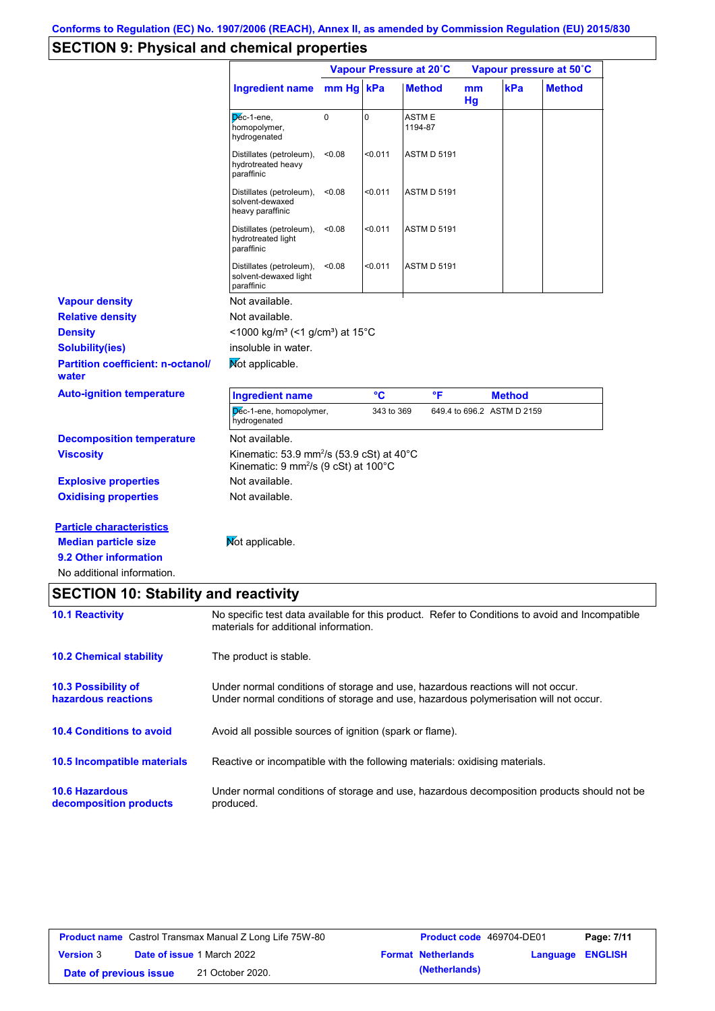# **SECTION 9: Physical and chemical properties**

|                                                                                                                       |                                                                                                                                                                         |             | Vapour Pressure at 20°C |                    |          | Vapour pressure at 50°C    |               |
|-----------------------------------------------------------------------------------------------------------------------|-------------------------------------------------------------------------------------------------------------------------------------------------------------------------|-------------|-------------------------|--------------------|----------|----------------------------|---------------|
|                                                                                                                       | <b>Ingredient name</b>                                                                                                                                                  | mm Hg kPa   |                         | <b>Method</b>      | mm<br>Hg | kPa                        | <b>Method</b> |
|                                                                                                                       | Dec-1-ene,<br>homopolymer,<br>hydrogenated                                                                                                                              | $\mathbf 0$ | $\mathbf 0$             | ASTM E<br>1194-87  |          |                            |               |
|                                                                                                                       | Distillates (petroleum),<br>hydrotreated heavy<br>paraffinic                                                                                                            | < 0.08      | $0.011$                 | ASTM D 5191        |          |                            |               |
|                                                                                                                       | Distillates (petroleum),<br>solvent-dewaxed<br>heavy paraffinic                                                                                                         | < 0.08      | $0.011$                 | <b>ASTM D 5191</b> |          |                            |               |
|                                                                                                                       | Distillates (petroleum),<br>hydrotreated light<br>paraffinic                                                                                                            | < 0.08      | $0.011$                 | <b>ASTM D 5191</b> |          |                            |               |
|                                                                                                                       | Distillates (petroleum),<br>solvent-dewaxed light<br>paraffinic                                                                                                         | < 0.08      | $0.011$                 | ASTM D 5191        |          |                            |               |
| <b>Vapour density</b>                                                                                                 | Not available.                                                                                                                                                          |             |                         |                    |          |                            |               |
| <b>Relative density</b>                                                                                               | Not available.                                                                                                                                                          |             |                         |                    |          |                            |               |
| <b>Density</b>                                                                                                        | <1000 kg/m <sup>3</sup> (<1 g/cm <sup>3</sup> ) at 15°C                                                                                                                 |             |                         |                    |          |                            |               |
| <b>Solubility(ies)</b>                                                                                                | insoluble in water.                                                                                                                                                     |             |                         |                    |          |                            |               |
| <b>Partition coefficient: n-octanol/</b><br>water                                                                     | Mot applicable.                                                                                                                                                         |             |                         |                    |          |                            |               |
| <b>Auto-ignition temperature</b>                                                                                      | <b>Ingredient name</b>                                                                                                                                                  |             | $\rm ^{\circ}C$         | °F                 |          | <b>Method</b>              |               |
|                                                                                                                       | Dec-1-ene, homopolymer,<br>hydrogenated                                                                                                                                 |             | 343 to 369              |                    |          | 649.4 to 696.2 ASTM D 2159 |               |
| <b>Decomposition temperature</b>                                                                                      | Not available.                                                                                                                                                          |             |                         |                    |          |                            |               |
| <b>Viscosity</b>                                                                                                      | Kinematic: 53.9 mm <sup>2</sup> /s (53.9 cSt) at $40^{\circ}$ C<br>Kinematic: 9 mm <sup>2</sup> /s (9 cSt) at 100°C                                                     |             |                         |                    |          |                            |               |
| <b>Explosive properties</b>                                                                                           | Not available.                                                                                                                                                          |             |                         |                    |          |                            |               |
| <b>Oxidising properties</b>                                                                                           | Not available.                                                                                                                                                          |             |                         |                    |          |                            |               |
| <b>Particle characteristics</b><br><b>Median particle size</b><br>9.2 Other information<br>No additional information. | Mot applicable.                                                                                                                                                         |             |                         |                    |          |                            |               |
| <b>SECTION 10: Stability and reactivity</b>                                                                           |                                                                                                                                                                         |             |                         |                    |          |                            |               |
| <b>10.1 Reactivity</b>                                                                                                | No specific test data available for this product. Refer to Conditions to avoid and Incompatible<br>materials for additional information.                                |             |                         |                    |          |                            |               |
| <b>10.2 Chemical stability</b>                                                                                        | The product is stable.                                                                                                                                                  |             |                         |                    |          |                            |               |
| 10.3 Possibility of<br>hazardous reactions                                                                            | Under normal conditions of storage and use, hazardous reactions will not occur.<br>Under normal conditions of storage and use, hazardous polymerisation will not occur. |             |                         |                    |          |                            |               |
| <b>10.4 Conditions to avoid</b>                                                                                       | Avoid all possible sources of ignition (spark or flame).                                                                                                                |             |                         |                    |          |                            |               |
| 10.5 Incompatible materials                                                                                           | Reactive or incompatible with the following materials: oxidising materials.                                                                                             |             |                         |                    |          |                            |               |
| <b>10.6 Hazardous</b><br>decomposition products                                                                       | Under normal conditions of storage and use, hazardous decomposition products should not be<br>produced.                                                                 |             |                         |                    |          |                            |               |

| <b>Product name</b> Castrol Transmax Manual Z Long Life 75W-80 |  |                                   | <b>Product code</b> 469704-DE01 |                           | Page: 7/11              |  |
|----------------------------------------------------------------|--|-----------------------------------|---------------------------------|---------------------------|-------------------------|--|
| <b>Version 3</b>                                               |  | <b>Date of issue 1 March 2022</b> |                                 | <b>Format Netherlands</b> | <b>Language ENGLISH</b> |  |
| Date of previous issue                                         |  | 21 October 2020.                  |                                 | (Netherlands)             |                         |  |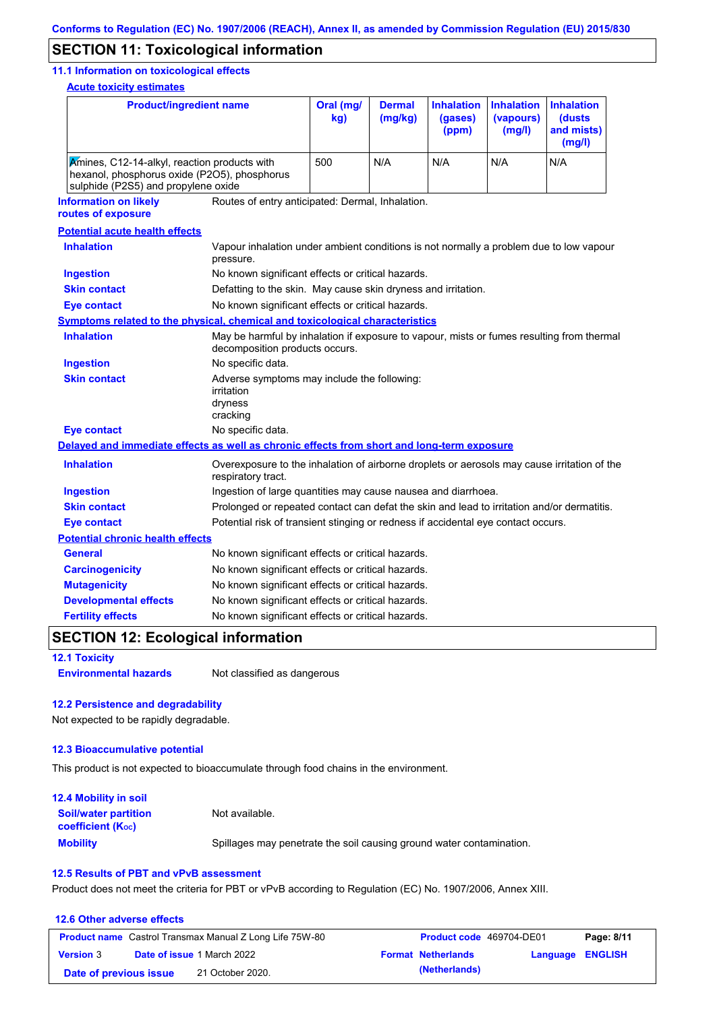### **SECTION 11: Toxicological information**

#### **11.1 Information on toxicological effects**

**Acute toxicity estimates**

| <b>Product/ingredient name</b>                                                                                                      |                                                                                                                             | Oral (mg/<br>kg) | <b>Dermal</b><br>(mg/kg)                                      | <b>Inhalation</b><br>(gases)<br>(ppm) | <b>Inhalation</b><br>(vapours)<br>(mg/l) | <b>Inhalation</b><br>(dusts<br>and mists)<br>(mg/l) |
|-------------------------------------------------------------------------------------------------------------------------------------|-----------------------------------------------------------------------------------------------------------------------------|------------------|---------------------------------------------------------------|---------------------------------------|------------------------------------------|-----------------------------------------------------|
| Amines, C12-14-alkyl, reaction products with<br>hexanol, phosphorus oxide (P2O5), phosphorus<br>sulphide (P2S5) and propylene oxide |                                                                                                                             | 500              | N/A                                                           | N/A                                   | N/A                                      | N/A                                                 |
| <b>Information on likely</b><br>routes of exposure                                                                                  | Routes of entry anticipated: Dermal, Inhalation.                                                                            |                  |                                                               |                                       |                                          |                                                     |
| <b>Potential acute health effects</b>                                                                                               |                                                                                                                             |                  |                                                               |                                       |                                          |                                                     |
| <b>Inhalation</b>                                                                                                                   | Vapour inhalation under ambient conditions is not normally a problem due to low vapour<br>pressure.                         |                  |                                                               |                                       |                                          |                                                     |
| <b>Ingestion</b>                                                                                                                    | No known significant effects or critical hazards.                                                                           |                  |                                                               |                                       |                                          |                                                     |
| <b>Skin contact</b>                                                                                                                 |                                                                                                                             |                  | Defatting to the skin. May cause skin dryness and irritation. |                                       |                                          |                                                     |
| <b>Eye contact</b>                                                                                                                  | No known significant effects or critical hazards.                                                                           |                  |                                                               |                                       |                                          |                                                     |
| <b>Symptoms related to the physical, chemical and toxicological characteristics</b>                                                 |                                                                                                                             |                  |                                                               |                                       |                                          |                                                     |
| <b>Inhalation</b>                                                                                                                   | May be harmful by inhalation if exposure to vapour, mists or fumes resulting from thermal<br>decomposition products occurs. |                  |                                                               |                                       |                                          |                                                     |
| <b>Ingestion</b>                                                                                                                    | No specific data.                                                                                                           |                  |                                                               |                                       |                                          |                                                     |
| <b>Skin contact</b>                                                                                                                 | Adverse symptoms may include the following:<br>irritation<br>dryness<br>cracking                                            |                  |                                                               |                                       |                                          |                                                     |
| <b>Eye contact</b>                                                                                                                  | No specific data.                                                                                                           |                  |                                                               |                                       |                                          |                                                     |
| Delayed and immediate effects as well as chronic effects from short and long-term exposure                                          |                                                                                                                             |                  |                                                               |                                       |                                          |                                                     |
| <b>Inhalation</b>                                                                                                                   | Overexposure to the inhalation of airborne droplets or aerosols may cause irritation of the<br>respiratory tract.           |                  |                                                               |                                       |                                          |                                                     |
| <b>Ingestion</b>                                                                                                                    | Ingestion of large quantities may cause nausea and diarrhoea.                                                               |                  |                                                               |                                       |                                          |                                                     |
| <b>Skin contact</b>                                                                                                                 | Prolonged or repeated contact can defat the skin and lead to irritation and/or dermatitis.                                  |                  |                                                               |                                       |                                          |                                                     |
| <b>Eye contact</b>                                                                                                                  | Potential risk of transient stinging or redness if accidental eye contact occurs.                                           |                  |                                                               |                                       |                                          |                                                     |
| <b>Potential chronic health effects</b>                                                                                             |                                                                                                                             |                  |                                                               |                                       |                                          |                                                     |
| <b>General</b>                                                                                                                      | No known significant effects or critical hazards.                                                                           |                  |                                                               |                                       |                                          |                                                     |
| <b>Carcinogenicity</b>                                                                                                              | No known significant effects or critical hazards.                                                                           |                  |                                                               |                                       |                                          |                                                     |
| <b>Mutagenicity</b>                                                                                                                 | No known significant effects or critical hazards.                                                                           |                  |                                                               |                                       |                                          |                                                     |
| <b>Developmental effects</b>                                                                                                        | No known significant effects or critical hazards.                                                                           |                  |                                                               |                                       |                                          |                                                     |
| <b>Fertility effects</b>                                                                                                            | No known significant effects or critical hazards.                                                                           |                  |                                                               |                                       |                                          |                                                     |

# **SECTION 12: Ecological information**

**12.1 Toxicity**

**Environmental hazards** Not classified as dangerous

#### **12.2 Persistence and degradability**

Not expected to be rapidly degradable.

#### **12.3 Bioaccumulative potential**

This product is not expected to bioaccumulate through food chains in the environment.

| <b>12.4 Mobility in soil</b>                            |                                                                      |
|---------------------------------------------------------|----------------------------------------------------------------------|
| <b>Soil/water partition</b><br><b>coefficient (Koc)</b> | Not available.                                                       |
| <b>Mobility</b>                                         | Spillages may penetrate the soil causing ground water contamination. |

#### **12.5 Results of PBT and vPvB assessment**

Product does not meet the criteria for PBT or vPvB according to Regulation (EC) No. 1907/2006, Annex XIII.

#### **12.6 Other adverse effects Product name** Castrol Transmax Manual Z Long Life 75W-80 **Product code** 469704-DE01 **Page: 8/11 Version** 3 **Date of issue** 1 March 2022 **Format Netherlands Language ENGLISH Date of previous issue (Netherlands)** 21 October 2020.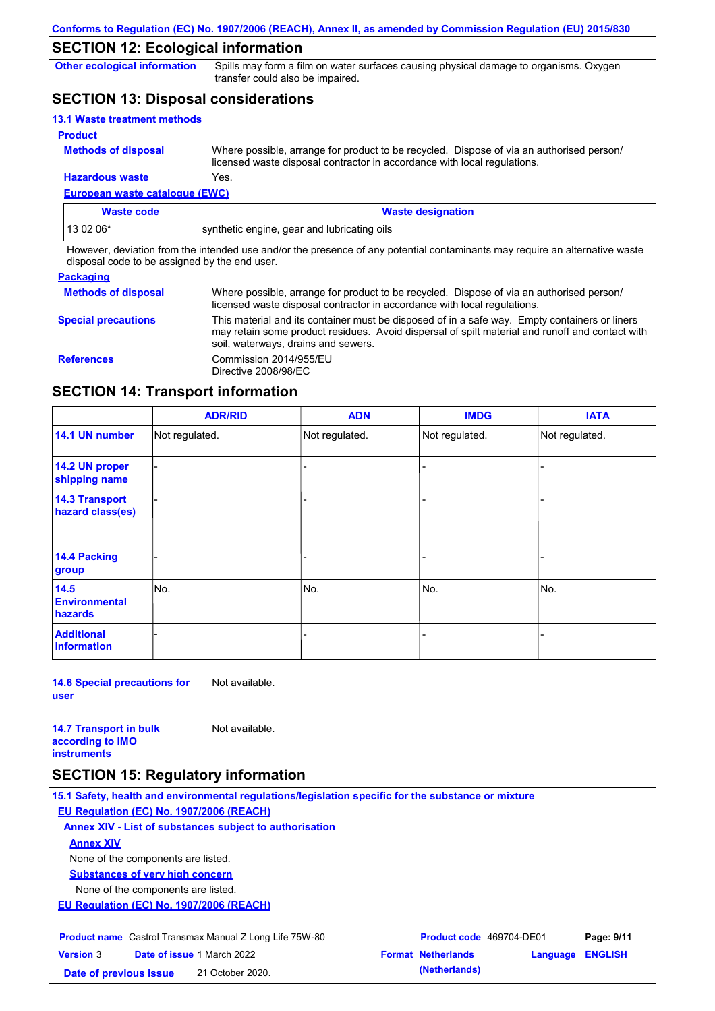### **SECTION 12: Ecological information**

**Other ecological information**

Spills may form a film on water surfaces causing physical damage to organisms. Oxygen transfer could also be impaired.

### **SECTION 13: Disposal considerations**

| <b>13.1 Waste treatment methods</b> |                                                                                                                                                                      |
|-------------------------------------|----------------------------------------------------------------------------------------------------------------------------------------------------------------------|
| <b>Product</b>                      |                                                                                                                                                                      |
| <b>Methods of disposal</b>          | Where possible, arrange for product to be recycled. Dispose of via an authorised person/<br>licensed waste disposal contractor in accordance with local regulations. |
| <b>Hazardous waste</b>              | Yes.                                                                                                                                                                 |

### **European waste catalogue (EWC)**

| Waste code | <b>Waste designation</b>                    |
|------------|---------------------------------------------|
| 13 02 06*  | synthetic engine, gear and lubricating oils |

However, deviation from the intended use and/or the presence of any potential contaminants may require an alternative waste disposal code to be assigned by the end user.

#### **Packaging**

| <b>Methods of disposal</b> | Where possible, arrange for product to be recycled. Dispose of via an authorised person/<br>licensed waste disposal contractor in accordance with local regulations.                                                                    |
|----------------------------|-----------------------------------------------------------------------------------------------------------------------------------------------------------------------------------------------------------------------------------------|
| <b>Special precautions</b> | This material and its container must be disposed of in a safe way. Empty containers or liners<br>may retain some product residues. Avoid dispersal of spilt material and runoff and contact with<br>soil, waterways, drains and sewers. |
| <b>References</b>          | Commission 2014/955/EU<br>Directive 2008/98/EC                                                                                                                                                                                          |

### **SECTION 14: Transport information**

|                                           | <b>ADR/RID</b> | <b>ADN</b>     | <b>IMDG</b>    | <b>IATA</b>    |
|-------------------------------------------|----------------|----------------|----------------|----------------|
| 14.1 UN number                            | Not regulated. | Not regulated. | Not regulated. | Not regulated. |
| 14.2 UN proper<br>shipping name           |                |                |                |                |
| <b>14.3 Transport</b><br>hazard class(es) |                |                | -              |                |
| 14.4 Packing<br>group                     |                |                |                |                |
| 14.5<br><b>Environmental</b><br>hazards   | No.            | No.            | No.            | No.            |
| <b>Additional</b><br>information          |                |                | -              |                |

**14.6 Special precautions for user** Not available.

**14.7 Transport in bulk according to IMO** 

Not available.

**instruments**

### **SECTION 15: Regulatory information**

**15.1 Safety, health and environmental regulations/legislation specific for the substance or mixture**

**EU Regulation (EC) No. 1907/2006 (REACH)**

**Annex XIV - List of substances subject to authorisation**

**Annex XIV**

None of the components are listed.

**Substances of very high concern**

None of the components are listed.

**EU Regulation (EC) No. 1907/2006 (REACH)**

| <b>Product name</b> Castrol Transmax Manual Z Long Life 75W-80 |                                   | <b>Product code</b> 469704-DE01 |                           | Page: 9/11              |  |
|----------------------------------------------------------------|-----------------------------------|---------------------------------|---------------------------|-------------------------|--|
| <b>Version 3</b>                                               | <b>Date of issue 1 March 2022</b> |                                 | <b>Format Netherlands</b> | <b>Language ENGLISH</b> |  |
| Date of previous issue                                         |                                   | 21 October 2020.                | (Netherlands)             |                         |  |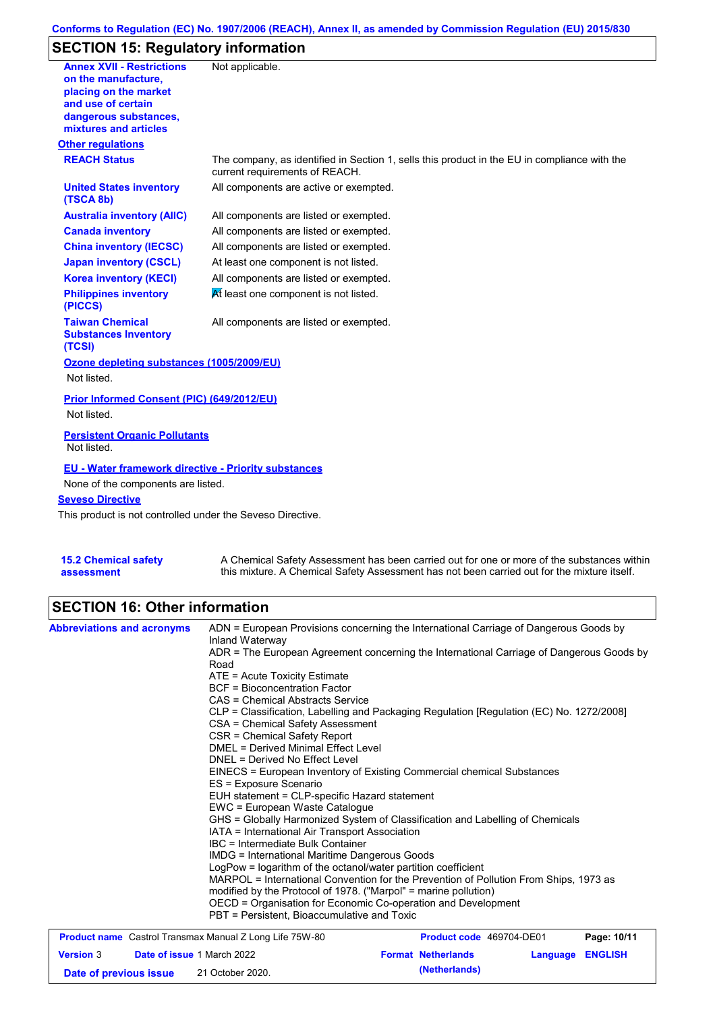### **Conforms to Regulation (EC) No. 1907/2006 (REACH), Annex II, as amended by Commission Regulation (EU) 2015/830**

## **SECTION 15: Regulatory information**

| <b>Annex XVII - Restrictions</b><br>on the manufacture,<br>placing on the market<br>and use of certain<br>dangerous substances, | Not applicable.                                                                                                                |
|---------------------------------------------------------------------------------------------------------------------------------|--------------------------------------------------------------------------------------------------------------------------------|
| mixtures and articles                                                                                                           |                                                                                                                                |
| <b>Other regulations</b>                                                                                                        |                                                                                                                                |
| <b>REACH Status</b>                                                                                                             | The company, as identified in Section 1, sells this product in the EU in compliance with the<br>current requirements of REACH. |
| <b>United States inventory</b><br>(TSCA 8b)                                                                                     | All components are active or exempted.                                                                                         |
| <b>Australia inventory (AIIC)</b>                                                                                               | All components are listed or exempted.                                                                                         |
| <b>Canada inventory</b>                                                                                                         | All components are listed or exempted.                                                                                         |
| <b>China inventory (IECSC)</b>                                                                                                  | All components are listed or exempted.                                                                                         |
| <b>Japan inventory (CSCL)</b>                                                                                                   | At least one component is not listed.                                                                                          |
| <b>Korea inventory (KECI)</b>                                                                                                   | All components are listed or exempted.                                                                                         |
| <b>Philippines inventory</b><br>(PICCS)                                                                                         | At least one component is not listed.                                                                                          |
| <b>Taiwan Chemical</b><br><b>Substances Inventory</b><br>(TCSI)                                                                 | All components are listed or exempted.                                                                                         |
| Ozone depleting substances (1005/2009/EU)                                                                                       |                                                                                                                                |
| Not listed.                                                                                                                     |                                                                                                                                |
| Prior Informed Consent (PIC) (649/2012/EU)                                                                                      |                                                                                                                                |
| Not listed.                                                                                                                     |                                                                                                                                |
| <b>Persistent Organic Pollutants</b><br>Not listed.                                                                             |                                                                                                                                |
| <b>EU - Water framework directive - Priority substances</b>                                                                     |                                                                                                                                |
| None of the components are listed.                                                                                              |                                                                                                                                |
| <b>Seveso Directive</b>                                                                                                         |                                                                                                                                |
| This product is not controlled under the Seveso Directive.                                                                      |                                                                                                                                |
|                                                                                                                                 |                                                                                                                                |
| <b>15.2 Chemical safety</b>                                                                                                     | A Chemical Safety Assessment has been carried out for one or more of the substances within                                     |

this mixture. A Chemical Safety Assessment has not been carried out for the mixture itself.

### **SECTION 16: Other information**

**assessment**

|                                                                | ADR = The European Agreement concerning the International Carriage of Dangerous Goods by<br>Road                                                                                                                                                                                                                                                                                                           |                                 |          |                |  |  |
|----------------------------------------------------------------|------------------------------------------------------------------------------------------------------------------------------------------------------------------------------------------------------------------------------------------------------------------------------------------------------------------------------------------------------------------------------------------------------------|---------------------------------|----------|----------------|--|--|
|                                                                | $ATE =$ Acute Toxicity Estimate<br><b>BCF</b> = Bioconcentration Factor                                                                                                                                                                                                                                                                                                                                    |                                 |          |                |  |  |
|                                                                | CAS = Chemical Abstracts Service                                                                                                                                                                                                                                                                                                                                                                           |                                 |          |                |  |  |
|                                                                | CLP = Classification, Labelling and Packaging Regulation [Regulation (EC) No. 1272/2008]<br>CSA = Chemical Safety Assessment<br>CSR = Chemical Safety Report                                                                                                                                                                                                                                               |                                 |          |                |  |  |
|                                                                | <b>DMEL = Derived Minimal Effect Level</b><br>DNEL = Derived No Effect Level                                                                                                                                                                                                                                                                                                                               |                                 |          |                |  |  |
|                                                                |                                                                                                                                                                                                                                                                                                                                                                                                            |                                 |          |                |  |  |
|                                                                | EINECS = European Inventory of Existing Commercial chemical Substances                                                                                                                                                                                                                                                                                                                                     |                                 |          |                |  |  |
|                                                                | ES = Exposure Scenario<br>EUH statement = CLP-specific Hazard statement<br>EWC = European Waste Catalogue<br>GHS = Globally Harmonized System of Classification and Labelling of Chemicals<br>IATA = International Air Transport Association<br>IBC = Intermediate Bulk Container<br><b>IMDG</b> = International Maritime Dangerous Goods<br>LogPow = logarithm of the octanol/water partition coefficient |                                 |          |                |  |  |
|                                                                |                                                                                                                                                                                                                                                                                                                                                                                                            |                                 |          |                |  |  |
|                                                                |                                                                                                                                                                                                                                                                                                                                                                                                            |                                 |          |                |  |  |
|                                                                |                                                                                                                                                                                                                                                                                                                                                                                                            |                                 |          |                |  |  |
|                                                                |                                                                                                                                                                                                                                                                                                                                                                                                            |                                 |          |                |  |  |
|                                                                |                                                                                                                                                                                                                                                                                                                                                                                                            |                                 |          |                |  |  |
|                                                                |                                                                                                                                                                                                                                                                                                                                                                                                            |                                 |          |                |  |  |
|                                                                |                                                                                                                                                                                                                                                                                                                                                                                                            |                                 |          |                |  |  |
|                                                                | MARPOL = International Convention for the Prevention of Pollution From Ships, 1973 as<br>modified by the Protocol of 1978. ("Marpol" = marine pollution)<br>OECD = Organisation for Economic Co-operation and Development                                                                                                                                                                                  |                                 |          |                |  |  |
|                                                                |                                                                                                                                                                                                                                                                                                                                                                                                            |                                 |          |                |  |  |
|                                                                |                                                                                                                                                                                                                                                                                                                                                                                                            |                                 |          |                |  |  |
| <b>Product name</b> Castrol Transmax Manual Z Long Life 75W-80 |                                                                                                                                                                                                                                                                                                                                                                                                            | <b>Product code</b> 469704-DE01 |          | Page: 10/11    |  |  |
| <b>Version 3</b><br><b>Date of issue 1 March 2022</b>          |                                                                                                                                                                                                                                                                                                                                                                                                            | <b>Format Netherlands</b>       | Language | <b>ENGLISH</b> |  |  |

**Date of previous issue (Netherlands)** 21 October 2020.